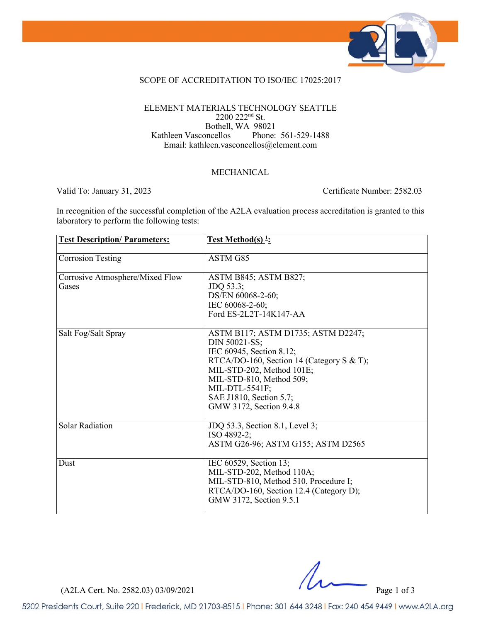

### SCOPE OF ACCREDITATION TO ISO/IEC 17025:2017

#### ELEMENT MATERIALS TECHNOLOGY SEATTLE 2200 222nd St. Bothell, WA 98021<br>pncellos Phone: 561-529-1488 Kathleen Vasconcellos Email: kathleen.vasconcellos@element.com

### MECHANICAL

Valid To: January 31, 2023 Certificate Number: 2582.03

In recognition of the successful completion of the A2LA evaluation process accreditation is granted to this laboratory to perform the following tests:

| <b>Test Description/Parameters:</b>      | <u>Test Method(s)<sup>1</sup></u> :                                                                                                                                                                                                                           |
|------------------------------------------|---------------------------------------------------------------------------------------------------------------------------------------------------------------------------------------------------------------------------------------------------------------|
| <b>Corrosion Testing</b>                 | ASTM G85                                                                                                                                                                                                                                                      |
| Corrosive Atmosphere/Mixed Flow<br>Gases | ASTM B845; ASTM B827;<br>JDQ 53.3;<br>DS/EN 60068-2-60;<br>IEC 60068-2-60;<br>Ford ES-2L2T-14K147-AA                                                                                                                                                          |
| Salt Fog/Salt Spray                      | ASTM B117; ASTM D1735; ASTM D2247;<br>DIN 50021-SS;<br>IEC 60945, Section 8.12;<br>RTCA/DO-160, Section 14 (Category S & T);<br>MIL-STD-202, Method 101E;<br>MIL-STD-810, Method 509;<br>MIL-DTL-5541F;<br>SAE J1810, Section 5.7;<br>GMW 3172, Section 9.4.8 |
| <b>Solar Radiation</b>                   | JDQ 53.3, Section 8.1, Level 3;<br>ISO 4892-2;<br>ASTM G26-96; ASTM G155; ASTM D2565                                                                                                                                                                          |
| Dust                                     | IEC 60529, Section 13;<br>MIL-STD-202, Method 110A;<br>MIL-STD-810, Method 510, Procedure I;<br>RTCA/DO-160, Section 12.4 (Category D);<br>GMW 3172, Section 9.5.1                                                                                            |

(A2LA Cert. No. 2582.03) 03/09/2021 Page 1 of 3

5202 Presidents Court, Suite 220 | Frederick, MD 21703-8515 | Phone: 301 644 3248 | Fax: 240 454 9449 | www.A2LA.org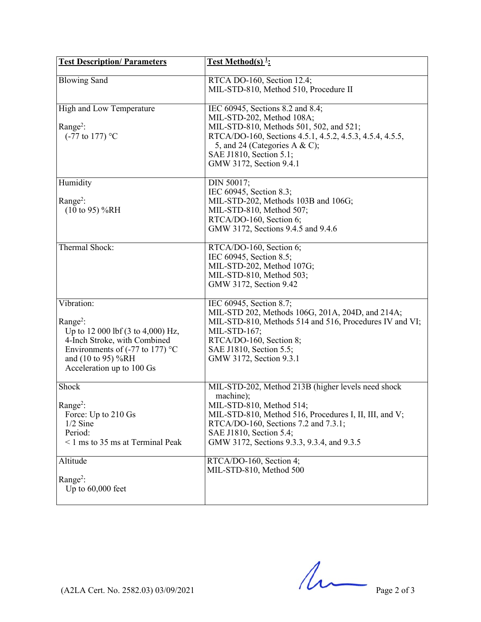| <b>Test Description/Parameters</b>                                                                                                                                                                       | Test Method(s) <sup>1</sup> :                                                                                                                                                                                                                                                                     |
|----------------------------------------------------------------------------------------------------------------------------------------------------------------------------------------------------------|---------------------------------------------------------------------------------------------------------------------------------------------------------------------------------------------------------------------------------------------------------------------------------------------------|
| <b>Blowing Sand</b>                                                                                                                                                                                      | RTCA DO-160, Section 12.4;<br>MIL-STD-810, Method 510, Procedure II                                                                                                                                                                                                                               |
| High and Low Temperature<br>Range <sup>2</sup> :<br>$(-77 \text{ to } 177)$ °C                                                                                                                           | IEC 60945, Sections 8.2 and 8.4;<br>MIL-STD-202, Method 108A;<br>MIL-STD-810, Methods 501, 502, and 521;<br>RTCA/DO-160, Sections 4.5.1, 4.5.2, 4.5.3, 4.5.4, 4.5.5,<br>5, and 24 (Categories A & C);<br>SAE J1810, Section 5.1;<br>GMW 3172, Section 9.4.1                                       |
| Humidity<br>$Range2$ :<br>$(10 \text{ to } 95) \% RH$                                                                                                                                                    | DIN 50017;<br>IEC 60945, Section 8.3;<br>MIL-STD-202, Methods 103B and 106G;<br>MIL-STD-810, Method 507;<br>RTCA/DO-160, Section 6;<br>GMW 3172, Sections 9.4.5 and 9.4.6                                                                                                                         |
| Thermal Shock:                                                                                                                                                                                           | RTCA/DO-160, Section 6;<br>IEC 60945, Section 8.5;<br>MIL-STD-202, Method 107G;<br>MIL-STD-810, Method 503;<br>GMW 3172, Section 9.42                                                                                                                                                             |
| Vibration:<br>Range <sup>2</sup> :<br>Up to 12 000 lbf (3 to 4,000) Hz,<br>4-Inch Stroke, with Combined<br>Environments of $(-77 \text{ to } 177)$ °C<br>and (10 to 95) %RH<br>Acceleration up to 100 Gs | IEC 60945, Section 8.7;<br>MIL-STD 202, Methods 106G, 201A, 204D, and 214A;<br>MIL-STD-810, Methods 514 and 516, Procedures IV and VI;<br>MIL-STD-167;<br>RTCA/DO-160, Section 8;<br>SAE J1810, Section 5.5;<br>GMW 3172, Section 9.3.1                                                           |
| Shock<br>Range <sup>2</sup> :<br>Force: Up to 210 Gs<br>$1/2$ Sine<br>Period:<br>$\leq$ 1 ms to 35 ms at Terminal Peak<br>Altitude                                                                       | MIL-STD-202, Method 213B (higher levels need shock<br>machine);<br>MIL-STD-810, Method 514;<br>MIL-STD-810, Method 516, Procedures I, II, III, and V;<br>RTCA/DO-160, Sections 7.2 and 7.3.1;<br>SAE J1810, Section 5.4;<br>GMW 3172, Sections 9.3.3, 9.3.4, and 9.3.5<br>RTCA/DO-160, Section 4; |
| Range <sup>2</sup> :<br>Up to $60,000$ feet                                                                                                                                                              | MIL-STD-810, Method 500                                                                                                                                                                                                                                                                           |

 $(A2LA$  Cert. No. 2582.03) 03/09/2021 Page 2 of 3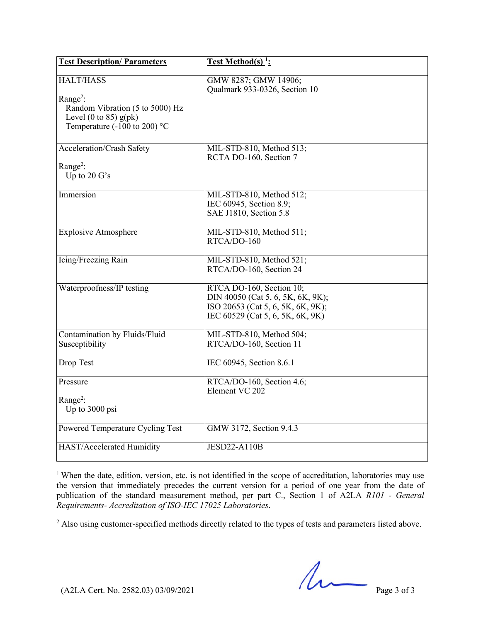| <b>Test Description/Parameters</b>                                                                   | <b>Test Method(s)</b> <sup>1</sup> :                                                                                                   |
|------------------------------------------------------------------------------------------------------|----------------------------------------------------------------------------------------------------------------------------------------|
| <b>HALT/HASS</b><br>Range <sup>2</sup> :                                                             | GMW 8287; GMW 14906;<br>Qualmark 933-0326, Section 10                                                                                  |
| Random Vibration (5 to 5000) Hz<br>Level (0 to 85) $g(pk)$<br>Temperature (-100 to 200) $^{\circ}$ C |                                                                                                                                        |
| Acceleration/Crash Safety                                                                            | MIL-STD-810, Method 513;<br>RCTA DO-160, Section 7                                                                                     |
| Range <sup>2</sup> :<br>Up to $20 G's$                                                               |                                                                                                                                        |
| Immersion                                                                                            | MIL-STD-810, Method 512;<br>IEC 60945, Section 8.9;<br>SAE J1810, Section 5.8                                                          |
| <b>Explosive Atmosphere</b>                                                                          | MIL-STD-810, Method 511;<br>RTCA/DO-160                                                                                                |
| Icing/Freezing Rain                                                                                  | MIL-STD-810, Method 521;<br>RTCA/DO-160, Section 24                                                                                    |
| Waterproofness/IP testing                                                                            | RTCA DO-160, Section 10;<br>DIN 40050 (Cat 5, 6, 5K, 6K, 9K);<br>ISO 20653 (Cat 5, 6, 5K, 6K, 9K);<br>IEC 60529 (Cat 5, 6, 5K, 6K, 9K) |
| Contamination by Fluids/Fluid<br>Susceptibility                                                      | MIL-STD-810, Method 504;<br>RTCA/DO-160, Section 11                                                                                    |
| Drop Test                                                                                            | IEC 60945, Section 8.6.1                                                                                                               |
| Pressure                                                                                             | RTCA/DO-160, Section 4.6;<br>Element VC 202                                                                                            |
| Range <sup>2</sup> :<br>Up to 3000 psi                                                               |                                                                                                                                        |
| Powered Temperature Cycling Test                                                                     | GMW 3172, Section 9.4.3                                                                                                                |
| HAST/Accelerated Humidity                                                                            | <b>JESD22-A110B</b>                                                                                                                    |

<sup>1</sup> When the date, edition, version, etc. is not identified in the scope of accreditation, laboratories may use the version that immediately precedes the current version for a period of one year from the date of publication of the standard measurement method, per part C., Section 1 of A2LA *R101 - General Requirements- Accreditation of ISO-IEC 17025 Laboratories*.

<sup>2</sup> Also using customer-specified methods directly related to the types of tests and parameters listed above.

 $(42LA$  Cert. No. 2582.03) 03/09/2021 Page 3 of 3